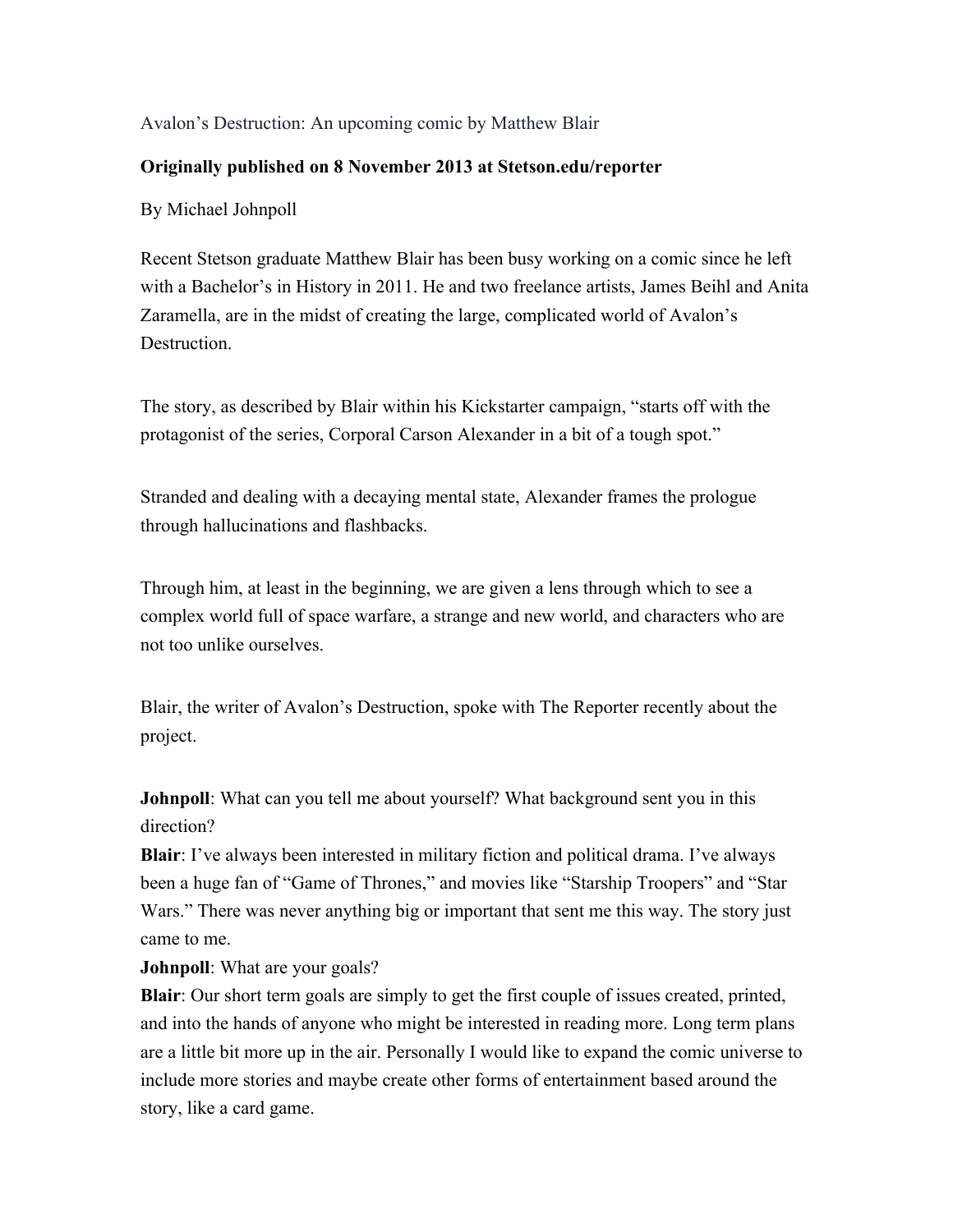## Avalon's Destruction: An upcoming comic by Matthew Blair

## **Originally published on 8 November 2013 at Stetson.edu/reporter**

By Michael Johnpoll

Recent Stetson graduate Matthew Blair has been busy working on a comic since he left with a Bachelor's in History in 2011. He and two freelance artists, James Beihl and Anita Zaramella, are in the midst of creating the large, complicated world of Avalon's Destruction.

The story, as described by Blair within his Kickstarter campaign, "starts off with the protagonist of the series, Corporal Carson Alexander in a bit of a tough spot."

Stranded and dealing with a decaying mental state, Alexander frames the prologue through hallucinations and flashbacks.

Through him, at least in the beginning, we are given a lens through which to see a complex world full of space warfare, a strange and new world, and characters who are not too unlike ourselves.

Blair, the writer of Avalon's Destruction, spoke with The Reporter recently about the project.

**Johnpoll**: What can you tell me about yourself? What background sent you in this direction?

**Blair**: I've always been interested in military fiction and political drama. I've always been a huge fan of "Game of Thrones," and movies like "Starship Troopers" and "Star Wars." There was never anything big or important that sent me this way. The story just came to me.

**Johnpoll**: What are your goals?

**Blair**: Our short term goals are simply to get the first couple of issues created, printed, and into the hands of anyone who might be interested in reading more. Long term plans are a little bit more up in the air. Personally I would like to expand the comic universe to include more stories and maybe create other forms of entertainment based around the story, like a card game.